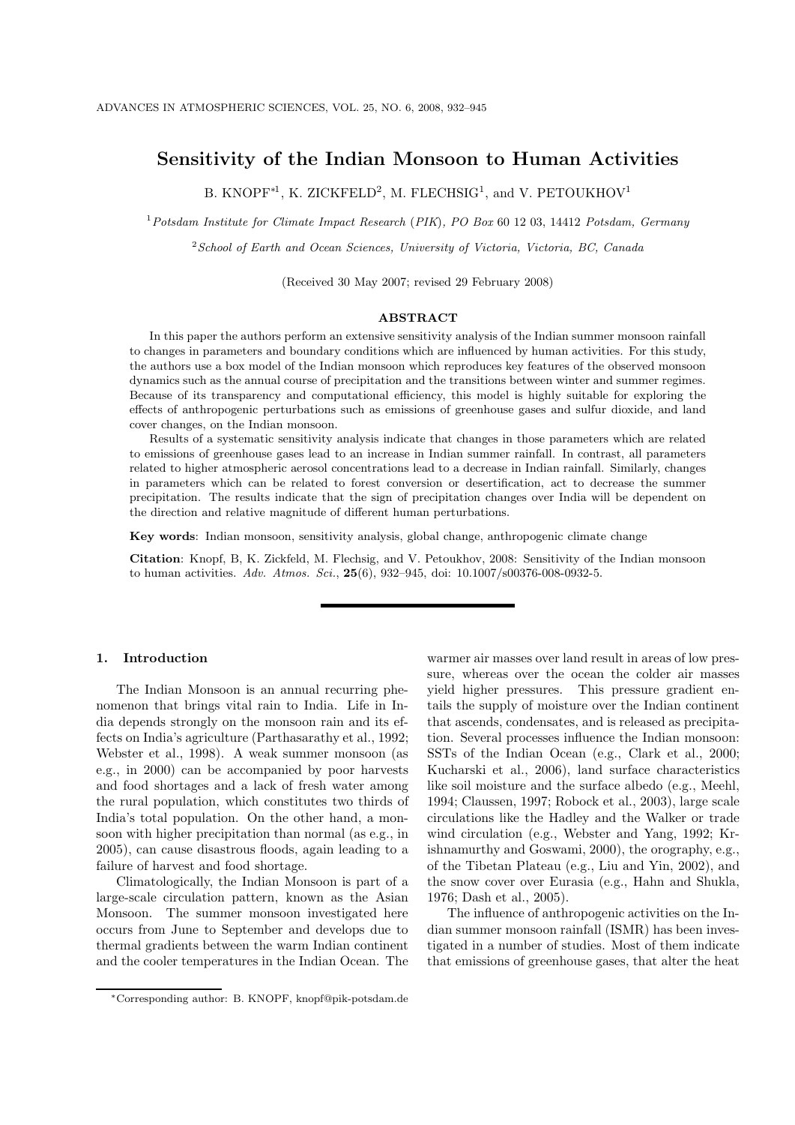# **Sensitivity of the Indian Monsoon to Human Activities**

B. KNOPF<sup>∗1</sup>, K. ZICKFELD<sup>2</sup>, M. FLECHSIG<sup>1</sup>, and V. PETOUKHOV<sup>1</sup>

<sup>1</sup>*Potsdam Institute for Climate Impact Research* (*PIK*)*, PO Box* 60 12 03, 14412 *Potsdam, Germany*

<sup>2</sup>*School of Earth and Ocean Sciences, University of Victoria, Victoria, BC, Canada*

(Received 30 May 2007; revised 29 February 2008)

# **ABSTRACT**

In this paper the authors perform an extensive sensitivity analysis of the Indian summer monsoon rainfall to changes in parameters and boundary conditions which are influenced by human activities. For this study, the authors use a box model of the Indian monsoon which reproduces key features of the observed monsoon dynamics such as the annual course of precipitation and the transitions between winter and summer regimes. Because of its transparency and computational efficiency, this model is highly suitable for exploring the effects of anthropogenic perturbations such as emissions of greenhouse gases and sulfur dioxide, and land cover changes, on the Indian monsoon.

Results of a systematic sensitivity analysis indicate that changes in those parameters which are related to emissions of greenhouse gases lead to an increase in Indian summer rainfall. In contrast, all parameters related to higher atmospheric aerosol concentrations lead to a decrease in Indian rainfall. Similarly, changes in parameters which can be related to forest conversion or desertification, act to decrease the summer precipitation. The results indicate that the sign of precipitation changes over India will be dependent on the direction and relative magnitude of different human perturbations.

**Key words**: Indian monsoon, sensitivity analysis, global change, anthropogenic climate change

**Citation**: Knopf, B, K. Zickfeld, M. Flechsig, and V. Petoukhov, 2008: Sensitivity of the Indian monsoon to human activities. *Adv. Atmos. Sci.*, **25**(6), 932–945, doi: 10.1007/s00376-008-0932-5.

#### **1. Introduction**

The Indian Monsoon is an annual recurring phenomenon that brings vital rain to India. Life in India depends strongly on the monsoon rain and its effects on India's agriculture (Parthasarathy et al., 1992; Webster et al., 1998). A weak summer monsoon (as e.g., in 2000) can be accompanied by poor harvests and food shortages and a lack of fresh water among the rural population, which constitutes two thirds of India's total population. On the other hand, a monsoon with higher precipitation than normal (as e.g., in 2005), can cause disastrous floods, again leading to a failure of harvest and food shortage.

Climatologically, the Indian Monsoon is part of a large-scale circulation pattern, known as the Asian Monsoon. The summer monsoon investigated here occurs from June to September and develops due to thermal gradients between the warm Indian continent and the cooler temperatures in the Indian Ocean. The yield higher pressures. This pressure gradient entails the supply of moisture over the Indian continent that ascends, condensates, and is released as precipitation. Several processes influence the Indian monsoon: SSTs of the Indian Ocean (e.g., Clark et al., 2000; Kucharski et al., 2006), land surface characteristics like soil moisture and the surface albedo (e.g., Meehl, 1994; Claussen, 1997; Robock et al., 2003), large scale circulations like the Hadley and the Walker or trade wind circulation (e.g., Webster and Yang, 1992; Krishnamurthy and Goswami, 2000), the orography, e.g., of the Tibetan Plateau (e.g., Liu and Yin, 2002), and the snow cover over Eurasia (e.g., Hahn and Shukla, 1976; Dash et al., 2005).

warmer air masses over land result in areas of low pressure, whereas over the ocean the colder air masses

The influence of anthropogenic activities on the Indian summer monsoon rainfall (ISMR) has been investigated in a number of studies. Most of them indicate that emissions of greenhouse gases, that alter the heat

<sup>∗</sup>Corresponding author: B. KNOPF, knopf@pik-potsdam.de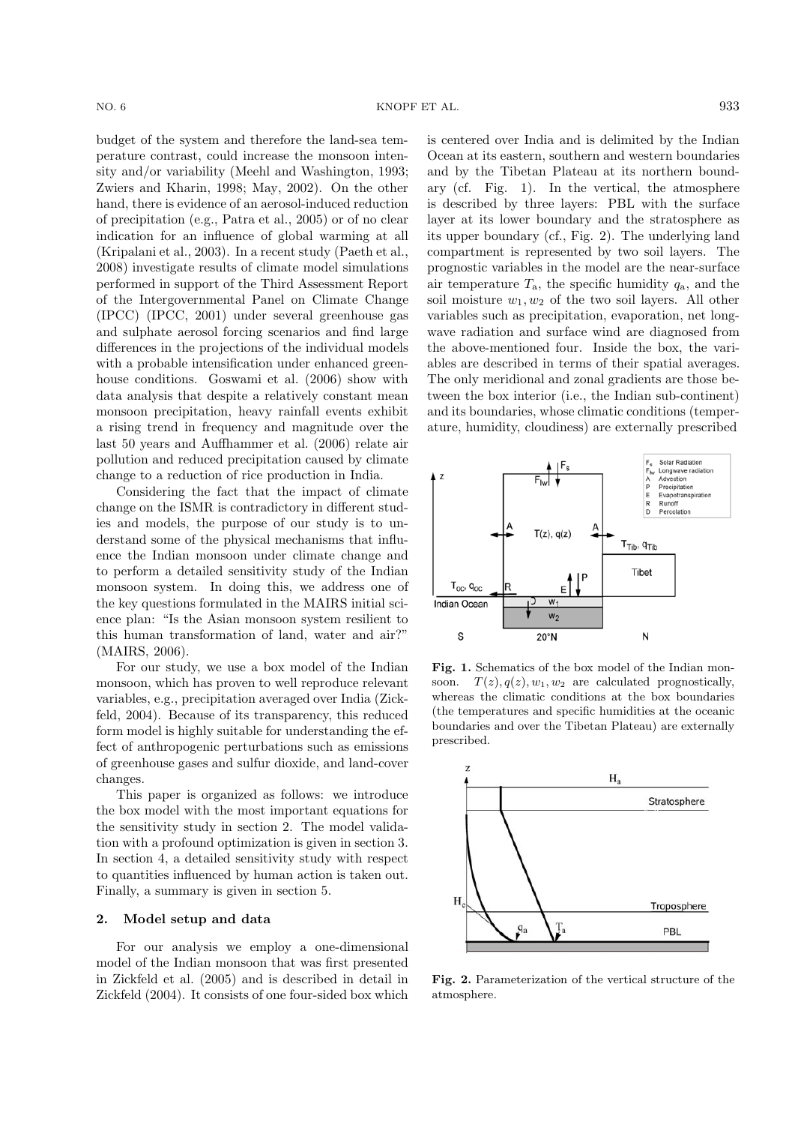budget of the system and therefore the land-sea temperature contrast, could increase the monsoon intensity and/or variability (Meehl and Washington, 1993; Zwiers and Kharin, 1998; May, 2002). On the other hand, there is evidence of an aerosol-induced reduction of precipitation (e.g., Patra et al., 2005) or of no clear indication for an influence of global warming at all (Kripalani et al., 2003). In a recent study (Paeth et al., 2008) investigate results of climate model simulations performed in support of the Third Assessment Report of the Intergovernmental Panel on Climate Change (IPCC) (IPCC, 2001) under several greenhouse gas and sulphate aerosol forcing scenarios and find large differences in the projections of the individual models with a probable intensification under enhanced greenhouse conditions. Goswami et al. (2006) show with data analysis that despite a relatively constant mean monsoon precipitation, heavy rainfall events exhibit a rising trend in frequency and magnitude over the last 50 years and Auffhammer et al. (2006) relate air pollution and reduced precipitation caused by climate change to a reduction of rice production in India.

Considering the fact that the impact of climate change on the ISMR is contradictory in different studies and models, the purpose of our study is to understand some of the physical mechanisms that influence the Indian monsoon under climate change and to perform a detailed sensitivity study of the Indian monsoon system. In doing this, we address one of the key questions formulated in the MAIRS initial science plan: "Is the Asian monsoon system resilient to this human transformation of land, water and air?" (MAIRS, 2006).

For our study, we use a box model of the Indian monsoon, which has proven to well reproduce relevant variables, e.g., precipitation averaged over India (Zickfeld, 2004). Because of its transparency, this reduced form model is highly suitable for understanding the effect of anthropogenic perturbations such as emissions of greenhouse gases and sulfur dioxide, and land-cover changes.

This paper is organized as follows: we introduce the box model with the most important equations for the sensitivity study in section 2. The model validation with a profound optimization is given in section 3. In section 4, a detailed sensitivity study with respect to quantities influenced by human action is taken out. Finally, a summary is given in section 5.

# **2. Model setup and data**

For our analysis we employ a one-dimensional model of the Indian monsoon that was first presented in Zickfeld et al. (2005) and is described in detail in Zickfeld (2004). It consists of one four-sided box which is centered over India and is delimited by the Indian Ocean at its eastern, southern and western boundaries and by the Tibetan Plateau at its northern boundary (cf. Fig. 1). In the vertical, the atmosphere is described by three layers: PBL with the surface layer at its lower boundary and the stratosphere as its upper boundary (cf., Fig. 2). The underlying land compartment is represented by two soil layers. The prognostic variables in the model are the near-surface air temperature  $T_a$ , the specific humidity  $q_a$ , and the soil moisture  $w_1, w_2$  of the two soil layers. All other variables such as precipitation, evaporation, net longwave radiation and surface wind are diagnosed from the above-mentioned four. Inside the box, the variables are described in terms of their spatial averages. The only meridional and zonal gradients are those between the box interior (i.e., the Indian sub-continent) and its boundaries, whose climatic conditions (temperature, humidity, cloudiness) are externally prescribed



Fig. 1. Schematics of the box model of the Indian monsoon.  $T(z)$ ,  $q(z)$ ,  $w_1$ ,  $w_2$  are calculated prognostically. whereas the climatic conditions at the box boundaries (the temperatures and specific humidities at the oceanic boundaries and over the Tibetan Plateau) are externally prescribed.



**Fig. 2.** Parameterization of the vertical structure of the atmosphere.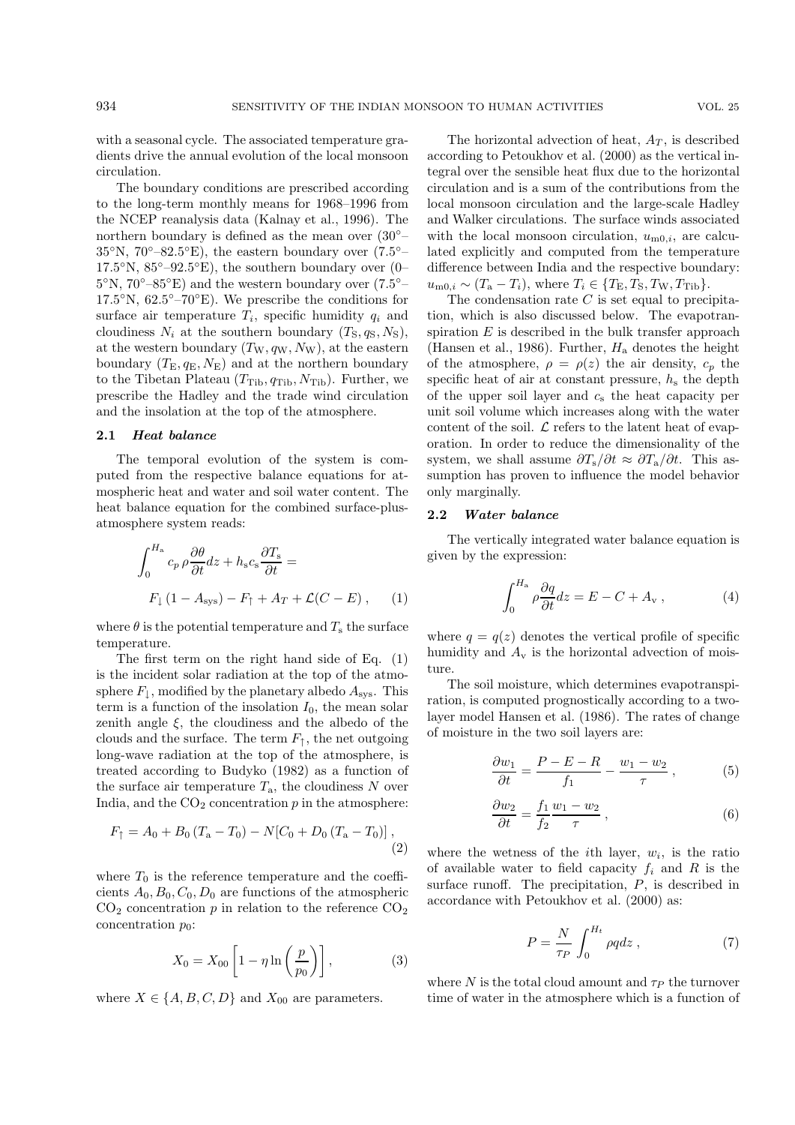with a seasonal cycle. The associated temperature gradients drive the annual evolution of the local monsoon circulation.

The boundary conditions are prescribed according to the long-term monthly means for 1968–1996 from the NCEP reanalysis data (Kalnay et al., 1996). The northern boundary is defined as the mean over (30◦–  $35°N$ ,  $70°-82.5°E$ ), the eastern boundary over  $(7.5° 17.5\textdegree N$ ,  $85\textdegree-92.5\textdegree E$ ), the southern boundary over (0–  $5°N$ ,  $70°-85°E$ ) and the western boundary over  $(7.5° 17.5°N$ ,  $62.5°-70°E$ ). We prescribe the conditions for surface air temperature  $T_i$ , specific humidity  $q_i$  and cloudiness  $N_i$  at the southern boundary  $(T_S, q_S, N_S)$ , at the western boundary  $(T_W, q_W, N_W)$ , at the eastern boundary  $(T_{\rm E}, q_{\rm E}, N_{\rm E})$  and at the northern boundary to the Tibetan Plateau  $(T_{\text{Tib}}, q_{\text{Tib}}, N_{\text{Tib}})$ . Further, we prescribe the Hadley and the trade wind circulation and the insolation at the top of the atmosphere.

### **2.1** *Heat balance*

The temporal evolution of the system is computed from the respective balance equations for atmospheric heat and water and soil water content. The heat balance equation for the combined surface-plusatmosphere system reads:

$$
\int_0^{H_a} c_p \rho \frac{\partial \theta}{\partial t} dz + h_s c_s \frac{\partial T_s}{\partial t} =
$$
  

$$
F_{\downarrow} (1 - A_{sys}) - F_{\uparrow} + A_T + \mathcal{L}(C - E) , \qquad (1)
$$

where  $\theta$  is the potential temperature and  $T_s$  the surface temperature.

The first term on the right hand side of Eq. (1) is the incident solar radiation at the top of the atmosphere  $F_{\downarrow}$ , modified by the planetary albedo  $A_{sys}$ . This term is a function of the insolation  $I_0$ , the mean solar zenith angle  $\xi$ , the cloudiness and the albedo of the clouds and the surface. The term  $F_1$ , the net outgoing long-wave radiation at the top of the atmosphere, is treated according to Budyko (1982) as a function of the surface air temperature  $T_a$ , the cloudiness N over India, and the  $CO<sub>2</sub>$  concentration  $p$  in the atmosphere:

$$
F_{\uparrow} = A_0 + B_0 (T_a - T_0) - N[C_0 + D_0 (T_a - T_0)],
$$
\n(2)

where  $T_0$  is the reference temperature and the coefficients  $A_0, B_0, C_0, D_0$  are functions of the atmospheric  $CO<sub>2</sub>$  concentration p in relation to the reference  $CO<sub>2</sub>$ concentration  $p_0$ :

$$
X_0 = X_{00} \left[ 1 - \eta \ln \left( \frac{p}{p_0} \right) \right],\tag{3}
$$

where  $X \in \{A, B, C, D\}$  and  $X_{00}$  are parameters.

The horizontal advection of heat,  $A_T$ , is described according to Petoukhov et al. (2000) as the vertical integral over the sensible heat flux due to the horizontal circulation and is a sum of the contributions from the local monsoon circulation and the large-scale Hadley and Walker circulations. The surface winds associated with the local monsoon circulation,  $u_{m0,i}$ , are calculated explicitly and computed from the temperature difference between India and the respective boundary:  $u_{\text{m0},i} \sim (T_a - T_i)$ , where  $T_i \in \{T_{\text{E}}, T_{\text{S}}, T_{\text{W}}, T_{\text{Tib}}\}.$ 

The condensation rate  $C$  is set equal to precipitation, which is also discussed below. The evapotranspiration  $E$  is described in the bulk transfer approach (Hansen et al., 1986). Further,  $H_a$  denotes the height of the atmosphere,  $\rho = \rho(z)$  the air density,  $c_p$  the specific heat of air at constant pressure,  $h_s$  the depth of the upper soil layer and  $c_s$  the heat capacity per unit soil volume which increases along with the water content of the soil.  $\mathcal L$  refers to the latent heat of evaporation. In order to reduce the dimensionality of the system, we shall assume  $\partial T_s/\partial t \approx \partial T_a/\partial t$ . This assumption has proven to influence the model behavior only marginally.

## **2.2** *Water balance*

The vertically integrated water balance equation is given by the expression:

$$
\int_0^{H_a} \rho \frac{\partial q}{\partial t} dz = E - C + A_v , \qquad (4)
$$

where  $q = q(z)$  denotes the vertical profile of specific humidity and  $A_{\rm v}$  is the horizontal advection of moisture.

The soil moisture, which determines evapotranspiration, is computed prognostically according to a twolayer model Hansen et al. (1986). The rates of change of moisture in the two soil layers are:

$$
\frac{\partial w_1}{\partial t} = \frac{P - E - R}{f_1} - \frac{w_1 - w_2}{\tau},\tag{5}
$$

$$
\frac{\partial w_2}{\partial t} = \frac{f_1}{f_2} \frac{w_1 - w_2}{\tau} ,\qquad (6)
$$

where the wetness of the *i*th layer,  $w_i$ , is the ratio of available water to field capacity  $f_i$  and R is the surface runoff. The precipitation,  $P$ , is described in accordance with Petoukhov et al. (2000) as:

$$
P = \frac{N}{\tau_P} \int_0^{H_t} \rho q dz \,, \tag{7}
$$

where N is the total cloud amount and  $\tau_P$  the turnover time of water in the atmosphere which is a function of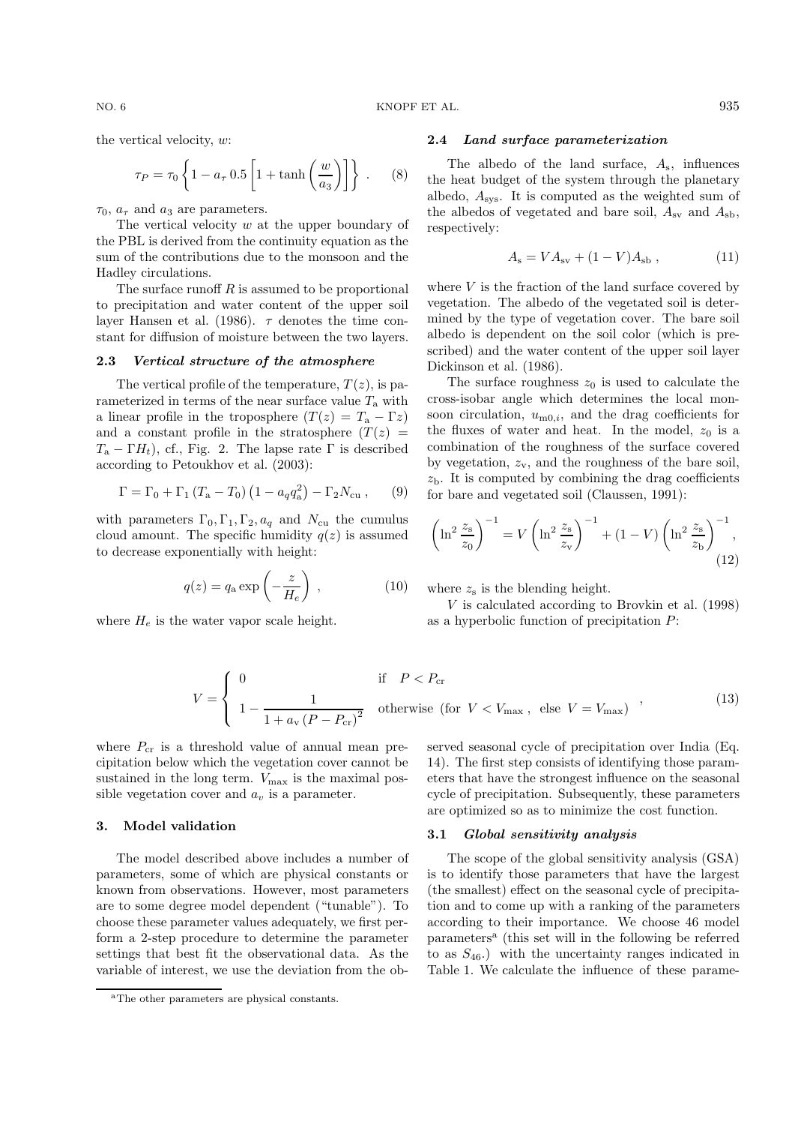the vertical velocity, w:

$$
\tau_P = \tau_0 \left\{ 1 - a_\tau \, 0.5 \left[ 1 + \tanh\left(\frac{w}{a_3}\right) \right] \right\} \,. \tag{8}
$$

 $\tau_0$ ,  $a_\tau$  and  $a_3$  are parameters.

The vertical velocity  $w$  at the upper boundary of the PBL is derived from the continuity equation as the sum of the contributions due to the monsoon and the Hadley circulations.

The surface runoff  $R$  is assumed to be proportional to precipitation and water content of the upper soil layer Hansen et al. (1986).  $\tau$  denotes the time constant for diffusion of moisture between the two layers.

## **2.3** *Vertical structure of the atmosphere*

The vertical profile of the temperature,  $T(z)$ , is parameterized in terms of the near surface value  $T_a$  with a linear profile in the troposphere  $(T(z) = T_a - \Gamma z)$ and a constant profile in the stratosphere  $(T(z))$  $T_a - \Gamma H_t$ , cf., Fig. 2. The lapse rate  $\Gamma$  is described according to Petoukhov et al. (2003):

$$
\Gamma = \Gamma_0 + \Gamma_1 (T_a - T_0) (1 - a_q q_a^2) - \Gamma_2 N_{\text{cu}} ,\qquad (9)
$$

with parameters  $\Gamma_0, \Gamma_1, \Gamma_2, a_q$  and  $N_{\text{cu}}$  the cumulus cloud amount. The specific humidity  $q(z)$  is assumed to decrease exponentially with height:

$$
q(z) = q_a \exp\left(-\frac{z}{H_e}\right) , \qquad (10)
$$

where  $H_e$  is the water vapor scale height.

$$
V = \begin{cases} 0 & \text{if } P < P_{\text{cr}} \\ 1 - \frac{1}{1 + a_{\text{v}} \left(P - P_{\text{cr}}\right)^2} & \text{otherwise} \end{cases}
$$

where  $P_{cr}$  is a threshold value of annual mean precipitation below which the vegetation cover cannot be sustained in the long term.  $V_{\text{max}}$  is the maximal possible vegetation cover and  $a<sub>v</sub>$  is a parameter.

# **3. Model validation**

The model described above includes a number of parameters, some of which are physical constants or known from observations. However, most parameters are to some degree model dependent ("tunable"). To choose these parameter values adequately, we first perform a 2-step procedure to determine the parameter settings that best fit the observational data. As the variable of interest, we use the deviation from the ob-

## **2.4** *Land surface parameterization*

The albedo of the land surface,  $A_s$ , influences the heat budget of the system through the planetary albedo,  $A_{\rm sys}$ . It is computed as the weighted sum of the albedos of vegetated and bare soil,  $A_{\rm sv}$  and  $A_{\rm sb}$ , respectively:

$$
A_{\rm s} = VA_{\rm sv} + (1 - V)A_{\rm sb} , \qquad (11)
$$

where  $V$  is the fraction of the land surface covered by vegetation. The albedo of the vegetated soil is determined by the type of vegetation cover. The bare soil albedo is dependent on the soil color (which is prescribed) and the water content of the upper soil layer Dickinson et al. (1986).

The surface roughness  $z_0$  is used to calculate the cross-isobar angle which determines the local monsoon circulation,  $u_{m0,i}$ , and the drag coefficients for the fluxes of water and heat. In the model,  $z_0$  is a combination of the roughness of the surface covered by vegetation,  $z_v$ , and the roughness of the bare soil,  $z<sub>b</sub>$ . It is computed by combining the drag coefficients for bare and vegetated soil (Claussen, 1991):

$$
\left(\ln^2 \frac{z_s}{z_0}\right)^{-1} = V\left(\ln^2 \frac{z_s}{z_v}\right)^{-1} + (1 - V)\left(\ln^2 \frac{z_s}{z_b}\right)^{-1},\tag{12}
$$

where  $z<sub>s</sub>$  is the blending height.

 $V$  is calculated according to Brovkin et al. (1998) as a hyperbolic function of precipitation P:

if 
$$
P < P_{\rm cr}
$$
  
\notherwise (for  $V < V_{\rm max}$ , else  $V = V_{\rm max}$ )<sup>'</sup> (13)

served seasonal cycle of precipitation over India (Eq. 14). The first step consists of identifying those parameters that have the strongest influence on the seasonal cycle of precipitation. Subsequently, these parameters are optimized so as to minimize the cost function.

#### **3.1** *Global sensitivity analysis*

The scope of the global sensitivity analysis (GSA) is to identify those parameters that have the largest (the smallest) effect on the seasonal cycle of precipitation and to come up with a ranking of the parameters according to their importance. We choose 46 model parameters<sup>a</sup> (this set will in the following be referred to as  $S_{46}$ .) with the uncertainty ranges indicated in Table 1. We calculate the influence of these parame-

<sup>a</sup>The other parameters are physical constants.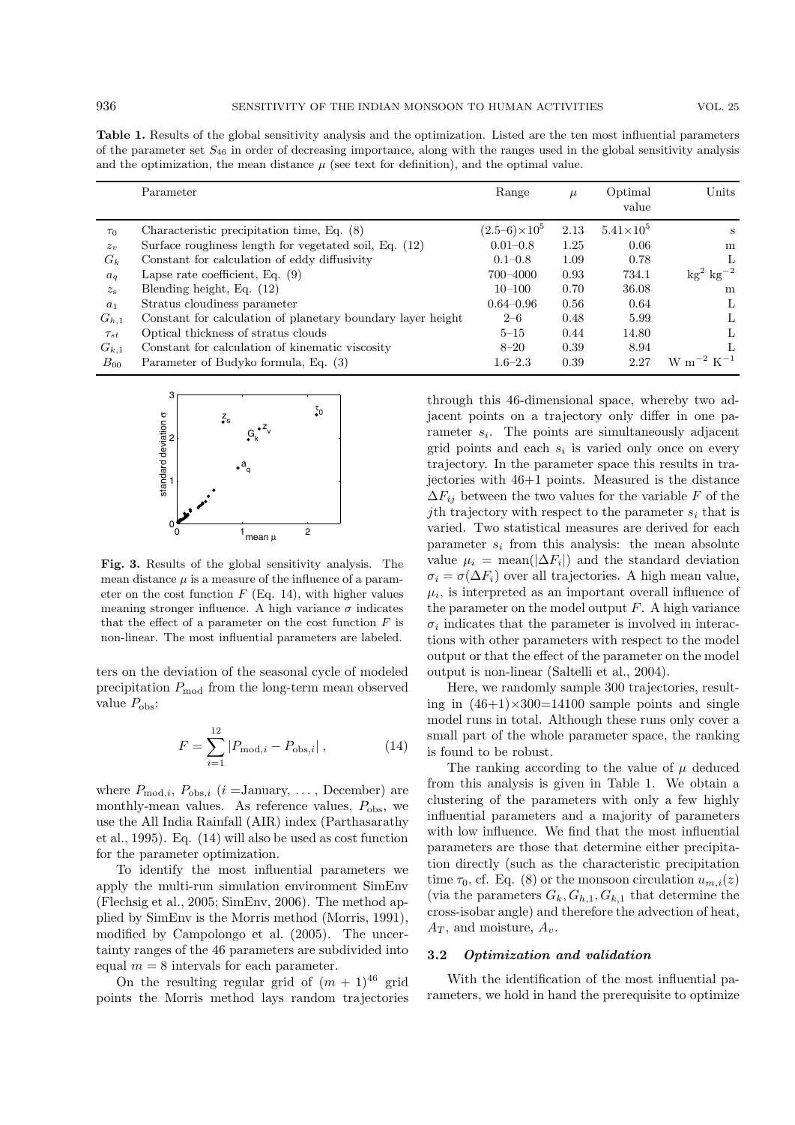**Table 1.** Results of the global sensitivity analysis and the optimization. Listed are the ten most influential parameters of the parameter set  $S_{46}$  in order of decreasing importance, along with the ranges used in the global sensitivity analysis and the optimization, the mean distance  $\mu$  (see text for definition), and the optimal value.

|                | Parameter                                                   | Range                 | $\mu$ | Optimal<br>value   | Units                         |
|----------------|-------------------------------------------------------------|-----------------------|-------|--------------------|-------------------------------|
| $\tau_0$       | Characteristic precipitation time, Eq. $(8)$                | $(2.5-6)\times10^{5}$ | 2.13  | $5.41\times10^{5}$ | S                             |
| $z_v$          | Surface roughness length for vegetated soil, Eq. (12)       | $0.01 - 0.8$          | 1.25  | 0.06               | m                             |
| $G_k$          | Constant for calculation of eddy diffusivity                | $0.1 - 0.8$           | 1.09  | 0.78               |                               |
| $a_q$          | Lapse rate coefficient, Eq. $(9)$                           | 700-4000              | 0.93  | 734.1              | $\text{kg}^2 \text{ kg}^{-2}$ |
| $z_{\rm s}$    | Blending height, Eq. (12)                                   | $10 - 100$            | 0.70  | 36.08              | m                             |
| a <sub>1</sub> | Stratus cloudiness parameter                                | $0.64 - 0.96$         | 0.56  | 0.64               | L                             |
| $G_{h,1}$      | Constant for calculation of planetary boundary layer height | $2 - 6$               | 0.48  | 5.99               | L                             |
| $\tau_{st}$    | Optical thickness of stratus clouds                         | $5 - 15$              | 0.44  | 14.80              | L                             |
| $G_{k,1}$      | Constant for calculation of kinematic viscosity             | $8 - 20$              | 0.39  | 8.94               |                               |
| $B_{00}$       | Parameter of Budyko formula, Eq. (3)                        | $1.6 - 2.3$           | 0.39  | 2.27               | $\rm{W~m^{-2}~K^{-1}}$        |



**Fig. 3.** Results of the global sensitivity analysis. The mean distance  $\mu$  is a measure of the influence of a parameter on the cost function  $F$  (Eq. 14), with higher values meaning stronger influence. A high variance  $\sigma$  indicates that the effect of a parameter on the cost function  $F$  is non-linear. The most influential parameters are labeled.

ters on the deviation of the seasonal cycle of modeled precipitation  $P_{\text{mod}}$  from the long-term mean observed value  $P_{\text{obs}}$ :

$$
F = \sum_{i=1}^{12} |P_{\text{mod},i} - P_{\text{obs},i}|,\tag{14}
$$

where  $P_{\text{mod},i}$ ,  $P_{\text{obs},i}$  (*i* = January, ..., December) are monthly-mean values. As reference values,  $P_{\text{obs}}$ , we use the All India Rainfall (AIR) index (Parthasarathy et al., 1995). Eq. (14) will also be used as cost function for the parameter optimization.

To identify the most influential parameters we apply the multi-run simulation environment SimEnv (Flechsig et al., 2005; SimEnv, 2006). The method applied by SimEnv is the Morris method (Morris, 1991), modified by Campolongo et al. (2005). The uncertainty ranges of the 46 parameters are subdivided into equal  $m = 8$  intervals for each parameter.

On the resulting regular grid of  $(m + 1)^{46}$  grid points the Morris method lays random trajectories through this 46-dimensional space, whereby two adjacent points on a trajectory only differ in one parameter  $s_i$ . The points are simultaneously adjacent grid points and each  $s_i$  is varied only once on every trajectory. In the parameter space this results in trajectories with 46+1 points. Measured is the distance  $\Delta F_{ij}$  between the two values for the variable F of the jth trajectory with respect to the parameter  $s_i$  that is varied. Two statistical measures are derived for each parameter  $s_i$  from this analysis: the mean absolute value  $\mu_i = \text{mean}(|\Delta F_i|)$  and the standard deviation  $\sigma_i = \sigma(\Delta F_i)$  over all trajectories. A high mean value,  $\mu_i$ , is interpreted as an important overall influence of the parameter on the model output  $F$ . A high variance  $\sigma_i$  indicates that the parameter is involved in interactions with other parameters with respect to the model output or that the effect of the parameter on the model output is non-linear (Saltelli et al., 2004).

Here, we randomly sample 300 trajectories, resulting in  $(46+1)\times300=14100$  sample points and single model runs in total. Although these runs only cover a small part of the whole parameter space, the ranking is found to be robust.

The ranking according to the value of  $\mu$  deduced from this analysis is given in Table 1. We obtain a clustering of the parameters with only a few highly influential parameters and a majority of parameters with low influence. We find that the most influential parameters are those that determine either precipitation directly (such as the characteristic precipitation time  $\tau_0$ , cf. Eq. (8) or the monsoon circulation  $u_{m,i}(z)$ (via the parameters  $G_k, G_{h,1}, G_{k,1}$  that determine the cross-isobar angle) and therefore the advection of heat,  $A_T$ , and moisture,  $A_v$ .

# **3.2** *Optimization and validation*

With the identification of the most influential parameters, we hold in hand the prerequisite to optimize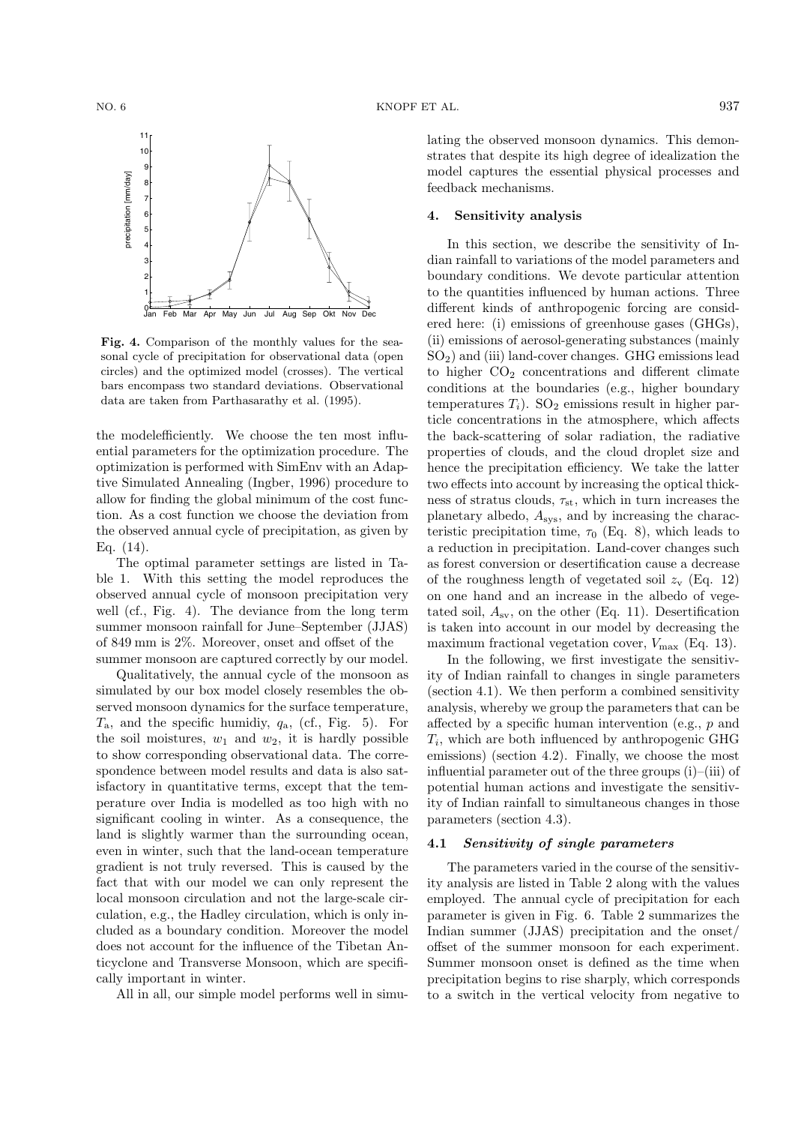

Fig. 4. Comparison of the monthly values for the seasonal cycle of precipitation for observational data (open circles) and the optimized model (crosses). The vertical bars encompass two standard deviations. Observational data are taken from Parthasarathy et al. (1995).

the modelefficiently. We choose the ten most influential parameters for the optimization procedure. The optimization is performed with SimEnv with an Adaptive Simulated Annealing (Ingber, 1996) procedure to allow for finding the global minimum of the cost function. As a cost function we choose the deviation from the observed annual cycle of precipitation, as given by Eq. (14).

The optimal parameter settings are listed in Table 1. With this setting the model reproduces the observed annual cycle of monsoon precipitation very well (cf., Fig. 4). The deviance from the long term summer monsoon rainfall for June–September (JJAS) of 849 mm is 2%. Moreover, onset and offset of the summer monsoon are captured correctly by our model.

Qualitatively, the annual cycle of the monsoon as simulated by our box model closely resembles the observed monsoon dynamics for the surface temperature,  $T_a$ , and the specific humidiy,  $q_a$ , (cf., Fig. 5). For the soil moistures,  $w_1$  and  $w_2$ , it is hardly possible to show corresponding observational data. The correspondence between model results and data is also satisfactory in quantitative terms, except that the temperature over India is modelled as too high with no significant cooling in winter. As a consequence, the land is slightly warmer than the surrounding ocean, even in winter, such that the land-ocean temperature gradient is not truly reversed. This is caused by the fact that with our model we can only represent the local monsoon circulation and not the large-scale circulation, e.g., the Hadley circulation, which is only included as a boundary condition. Moreover the model does not account for the influence of the Tibetan Anticyclone and Transverse Monsoon, which are specifically important in winter.

All in all, our simple model performs well in simu-

lating the observed monsoon dynamics. This demonstrates that despite its high degree of idealization the model captures the essential physical processes and feedback mechanisms.

# **4. Sensitivity analysis**

In this section, we describe the sensitivity of Indian rainfall to variations of the model parameters and boundary conditions. We devote particular attention to the quantities influenced by human actions. Three different kinds of anthropogenic forcing are considered here: (i) emissions of greenhouse gases (GHGs), (ii) emissions of aerosol-generating substances (mainly  $SO<sub>2</sub>$ ) and (iii) land-cover changes. GHG emissions lead to higher  $CO<sub>2</sub>$  concentrations and different climate conditions at the boundaries (e.g., higher boundary temperatures  $T_i$ ). SO<sub>2</sub> emissions result in higher particle concentrations in the atmosphere, which affects the back-scattering of solar radiation, the radiative properties of clouds, and the cloud droplet size and hence the precipitation efficiency. We take the latter two effects into account by increasing the optical thickness of stratus clouds,  $\tau_{\rm st}$ , which in turn increases the planetary albedo, Asys, and by increasing the characteristic precipitation time,  $\tau_0$  (Eq. 8), which leads to a reduction in precipitation. Land-cover changes such as forest conversion or desertification cause a decrease of the roughness length of vegetated soil  $z_v$  (Eq. 12) on one hand and an increase in the albedo of vegetated soil,  $A_{\rm sv}$ , on the other (Eq. 11). Desertification is taken into account in our model by decreasing the maximum fractional vegetation cover,  $V_{\text{max}}$  (Eq. 13).

In the following, we first investigate the sensitivity of Indian rainfall to changes in single parameters (section 4.1). We then perform a combined sensitivity analysis, whereby we group the parameters that can be affected by a specific human intervention (e.g., p and  $T_i$ , which are both influenced by anthropogenic GHG emissions) (section 4.2). Finally, we choose the most influential parameter out of the three groups (i)–(iii) of potential human actions and investigate the sensitivity of Indian rainfall to simultaneous changes in those parameters (section 4.3).

# **4.1** *Sensitivity of single parameters*

The parameters varied in the course of the sensitivity analysis are listed in Table 2 along with the values employed. The annual cycle of precipitation for each parameter is given in Fig. 6. Table 2 summarizes the Indian summer (JJAS) precipitation and the onset/ offset of the summer monsoon for each experiment. Summer monsoon onset is defined as the time when precipitation begins to rise sharply, which corresponds to a switch in the vertical velocity from negative to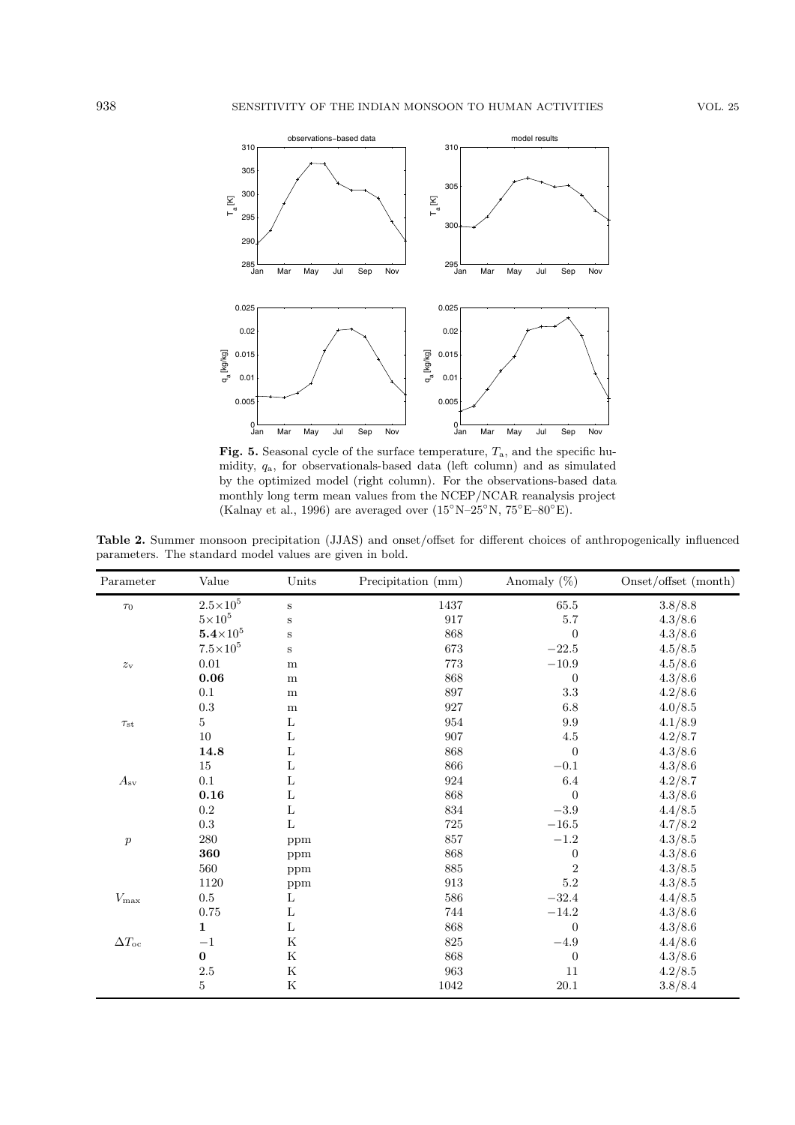

Fig. 5. Seasonal cycle of the surface temperature,  $T_a$ , and the specific humidity, qa, for observationals-based data (left column) and as simulated by the optimized model (right column). For the observations-based data monthly long term mean values from the NCEP/NCAR reanalysis project (Kalnay et al., 1996) are averaged over  $(15°N-25°N, 75°E-80°E)$ .

**Table 2.** Summer monsoon precipitation (JJAS) and onset/offset for different choices of anthropogenically influenced parameters. The standard model values are given in bold.

| Parameter              | Value                      | Units       | Precipitation (mm) | Anomaly $(\%)$   | Onset/offset (month) |
|------------------------|----------------------------|-------------|--------------------|------------------|----------------------|
| $\tau_0$               | $2.5{\times}10^5$          | $\mathbf S$ | $1437\,$           | $65.5\,$         | 3.8/8.8              |
|                        | $5\!\times\!10^5$          | $\mathbf S$ | 917                | 5.7              | 4.3/8.6              |
|                        | $\mathbf{5.4}{\times}10^5$ | $\mathbf S$ | 868                | $\overline{0}$   | 4.3/8.6              |
|                        | $7.5 \times 10^5$          | $\mathbf S$ | 673                | $-22.5\,$        | 4.5/8.5              |
| $z_{\rm v}$            | $0.01\,$                   | m           | 773                | $-10.9\,$        | 4.5/8.6              |
|                        | $\bf 0.06$                 | m           | 868                | $\boldsymbol{0}$ | 4.3/8.6              |
|                        | 0.1                        | m           | 897                | $\!3.3\!$        | 4.2/8.6              |
|                        | $\rm 0.3$                  | ${\bf m}$   | $927\,$            | 6.8              | 4.0/8.5              |
| $\tau_{\rm st}$        | $\overline{5}$             | L           | 954                | $\,9.9$          | 4.1/8.9              |
|                        | 10                         | L           | 907                | 4.5              | 4.2/8.7              |
|                        | 14.8                       | Г           | 868                | $\overline{0}$   | 4.3/8.6              |
|                        | 15                         | Г           | 866                | $-0.1$           | 4.3/8.6              |
| $A_{\rm sv}$           | $0.1\,$                    | Г           | 924                | $6.4\,$          | 4.2/8.7              |
|                        | $\bf 0.16$                 | $\mathbf L$ | 868                | $\boldsymbol{0}$ | 4.3/8.6              |
|                        | $\rm 0.2$                  | $\mathbf L$ | $834\,$            | $-3.9$           | 4.4/8.5              |
|                        | $\rm 0.3$                  | $\mathbf L$ | $725\,$            | $-16.5\,$        | 4.7/8.2              |
| $\boldsymbol{p}$       | $280\,$                    | ppm         | 857                | $-1.2\,$         | 4.3/8.5              |
|                        | 360                        | ppm         | 868                | $\boldsymbol{0}$ | 4.3/8.6              |
|                        | 560                        | ppm         | 885                | $\overline{2}$   | 4.3/8.5              |
|                        | 1120                       | ppm         | $\boldsymbol{913}$ | $5.2\,$          | 4.3/8.5              |
| $V_{\rm max}$          | $0.5\,$                    | L           | 586                | $-32.4$          | 4.4/8.5              |
|                        | $0.75\,$                   | $\mathbf L$ | 744                | $-14.2$          | 4.3/8.6              |
|                        | $\mathbf{1}$               | $\mathbf L$ | 868                | $\overline{0}$   | 4.3/8.6              |
| $\Delta T_{\text{oc}}$ | $-1$                       | ${\bf K}$   | 825                | $-4.9\,$         | 4.4/8.6              |
|                        | $\bf{0}$                   | ${\bf K}$   | 868                | $\boldsymbol{0}$ | 4.3/8.6              |
|                        | $2.5\,$                    | ${\bf K}$   | 963                | 11               | 4.2/8.5              |
|                        | $\bf 5$                    | ${\bf K}$   | 1042               | $20.1\,$         | 3.8/8.4              |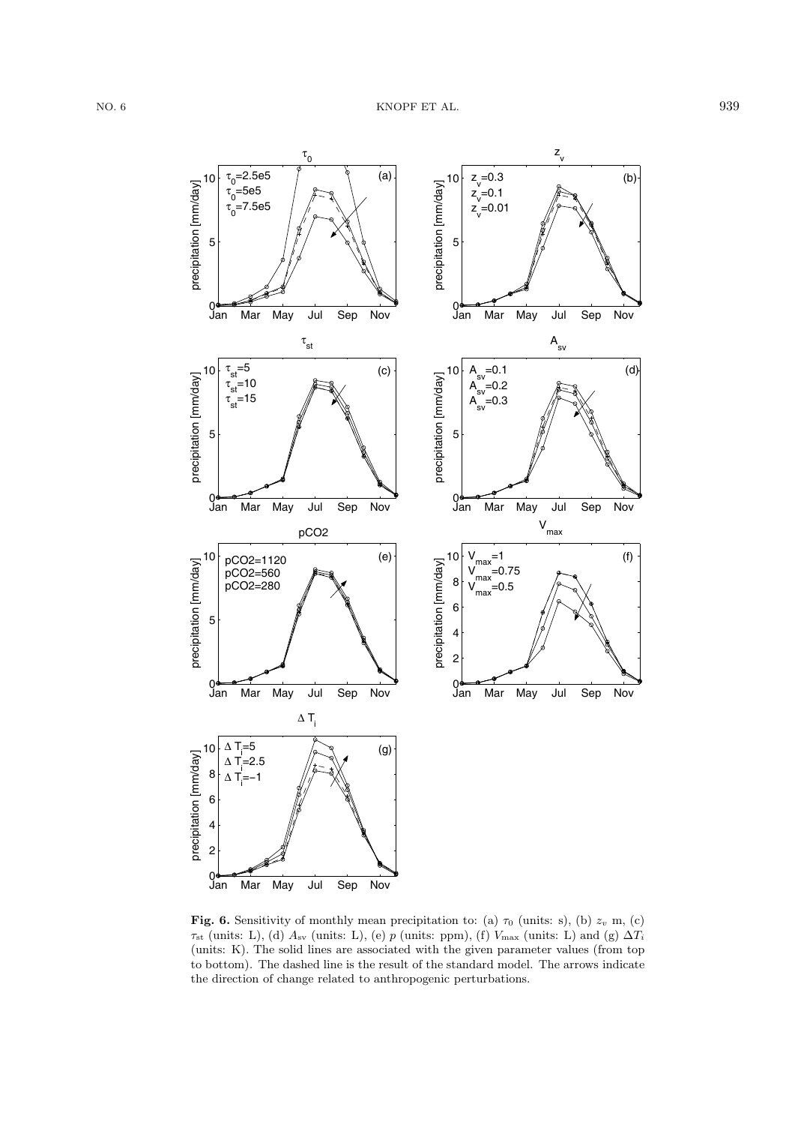

**Fig. 6.** Sensitivity of monthly mean precipitation to: (a)  $\tau_0$  (units: s), (b)  $z_v$  m, (c)  $\tau_{\rm st}$  (units: L), (d)  $A_{\rm sv}$  (units: L), (e) p (units: ppm), (f)  $V_{\rm max}$  (units: L) and (g)  $\Delta T_i$ (units: K). The solid lines are associated with the given parameter values (from top to bottom). The dashed line is the result of the standard model. The arrows indicate the direction of change related to anthropogenic perturbations.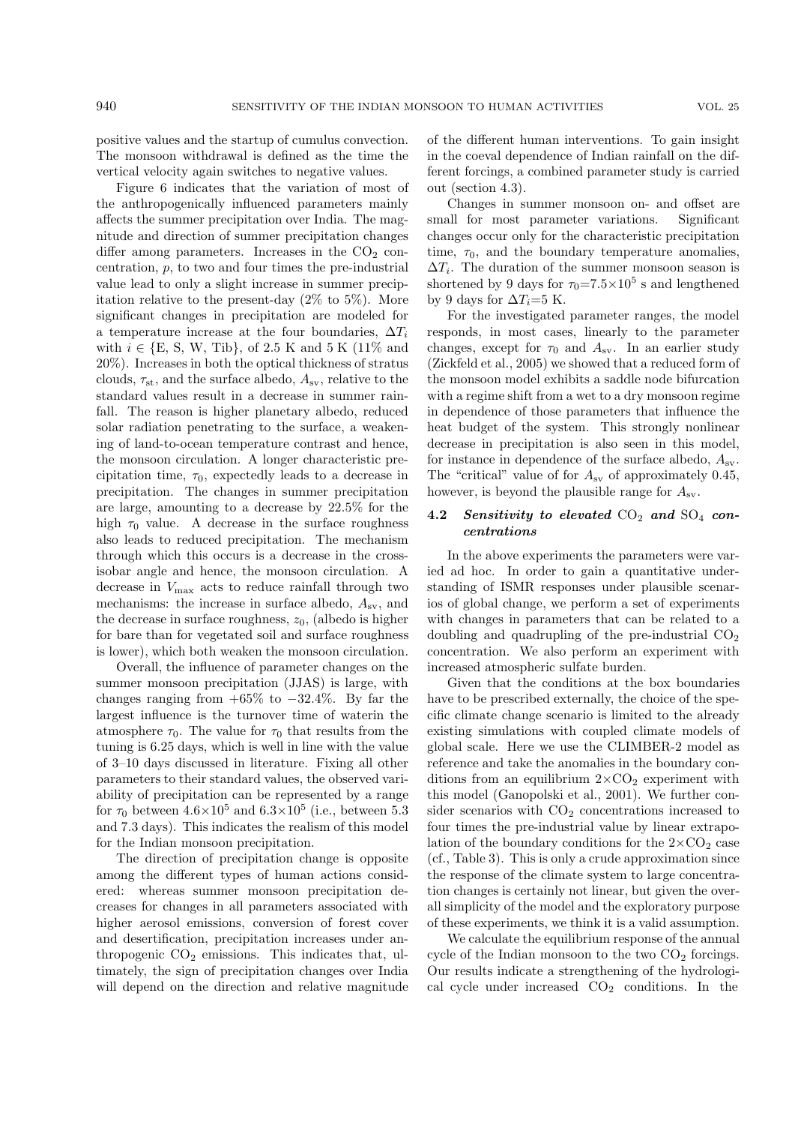positive values and the startup of cumulus convection. The monsoon withdrawal is defined as the time the vertical velocity again switches to negative values.

Figure 6 indicates that the variation of most of the anthropogenically influenced parameters mainly affects the summer precipitation over India. The magnitude and direction of summer precipitation changes differ among parameters. Increases in the  $CO<sub>2</sub>$  concentration,  $p$ , to two and four times the pre-industrial value lead to only a slight increase in summer precipitation relative to the present-day  $(2\%$  to 5%). More significant changes in precipitation are modeled for a temperature increase at the four boundaries,  $\Delta T_i$ with  $i \in \{E, S, W, Tib\}$ , of 2.5 K and 5 K (11\%) and 20%). Increases in both the optical thickness of stratus clouds,  $\tau_{st}$ , and the surface albedo,  $A_{sv}$ , relative to the standard values result in a decrease in summer rainfall. The reason is higher planetary albedo, reduced solar radiation penetrating to the surface, a weakening of land-to-ocean temperature contrast and hence, the monsoon circulation. A longer characteristic precipitation time,  $\tau_0$ , expectedly leads to a decrease in precipitation. The changes in summer precipitation are large, amounting to a decrease by 22.5% for the high  $\tau_0$  value. A decrease in the surface roughness also leads to reduced precipitation. The mechanism through which this occurs is a decrease in the crossisobar angle and hence, the monsoon circulation. A decrease in  $V_{\text{max}}$  acts to reduce rainfall through two mechanisms: the increase in surface albedo,  $A_{\rm sv}$ , and the decrease in surface roughness,  $z_0$ , (albedo is higher for bare than for vegetated soil and surface roughness is lower), which both weaken the monsoon circulation.

Overall, the influence of parameter changes on the summer monsoon precipitation (JJAS) is large, with changes ranging from  $+65\%$  to  $-32.4\%$ . By far the largest influence is the turnover time of waterin the atmosphere  $\tau_0$ . The value for  $\tau_0$  that results from the tuning is 6.25 days, which is well in line with the value of 3–10 days discussed in literature. Fixing all other parameters to their standard values, the observed variability of precipitation can be represented by a range for  $\tau_0$  between  $4.6\times10^5$  and  $6.3\times10^5$  (i.e., between 5.3 and 7.3 days). This indicates the realism of this model for the Indian monsoon precipitation.

The direction of precipitation change is opposite among the different types of human actions considered: whereas summer monsoon precipitation decreases for changes in all parameters associated with higher aerosol emissions, conversion of forest cover and desertification, precipitation increases under anthropogenic  $CO<sub>2</sub>$  emissions. This indicates that, ultimately, the sign of precipitation changes over India will depend on the direction and relative magnitude of the different human interventions. To gain insight in the coeval dependence of Indian rainfall on the different forcings, a combined parameter study is carried out (section 4.3).

Changes in summer monsoon on- and offset are small for most parameter variations. Significant changes occur only for the characteristic precipitation time,  $\tau_0$ , and the boundary temperature anomalies,  $\Delta T_i$ . The duration of the summer monsoon season is shortened by 9 days for  $\tau_0 = 7.5 \times 10^5$  s and lengthened by 9 days for  $\Delta T_i = 5$  K.

For the investigated parameter ranges, the model responds, in most cases, linearly to the parameter changes, except for  $\tau_0$  and  $A_{\rm sv}$ . In an earlier study (Zickfeld et al., 2005) we showed that a reduced form of the monsoon model exhibits a saddle node bifurcation with a regime shift from a wet to a dry monsoon regime in dependence of those parameters that influence the heat budget of the system. This strongly nonlinear decrease in precipitation is also seen in this model, for instance in dependence of the surface albedo,  $A_{\rm sv}$ . The "critical" value of for  $A_{\rm sv}$  of approximately 0.45, however, is beyond the plausible range for  $A_{\rm sv}$ .

# **4.2** *Sensitivity to elevated* CO<sup>2</sup> *and* SO<sup>4</sup> *concentrations*

In the above experiments the parameters were varied ad hoc. In order to gain a quantitative understanding of ISMR responses under plausible scenarios of global change, we perform a set of experiments with changes in parameters that can be related to a doubling and quadrupling of the pre-industrial  $CO<sub>2</sub>$ concentration. We also perform an experiment with increased atmospheric sulfate burden.

Given that the conditions at the box boundaries have to be prescribed externally, the choice of the specific climate change scenario is limited to the already existing simulations with coupled climate models of global scale. Here we use the CLIMBER-2 model as reference and take the anomalies in the boundary conditions from an equilibrium  $2\times CO_2$  experiment with this model (Ganopolski et al., 2001). We further consider scenarios with  $CO<sub>2</sub>$  concentrations increased to four times the pre-industrial value by linear extrapolation of the boundary conditions for the  $2\times CO<sub>2</sub>$  case (cf., Table 3). This is only a crude approximation since the response of the climate system to large concentration changes is certainly not linear, but given the overall simplicity of the model and the exploratory purpose of these experiments, we think it is a valid assumption.

We calculate the equilibrium response of the annual cycle of the Indian monsoon to the two  $CO<sub>2</sub>$  forcings. Our results indicate a strengthening of the hydrological cycle under increased  $CO<sub>2</sub>$  conditions. In the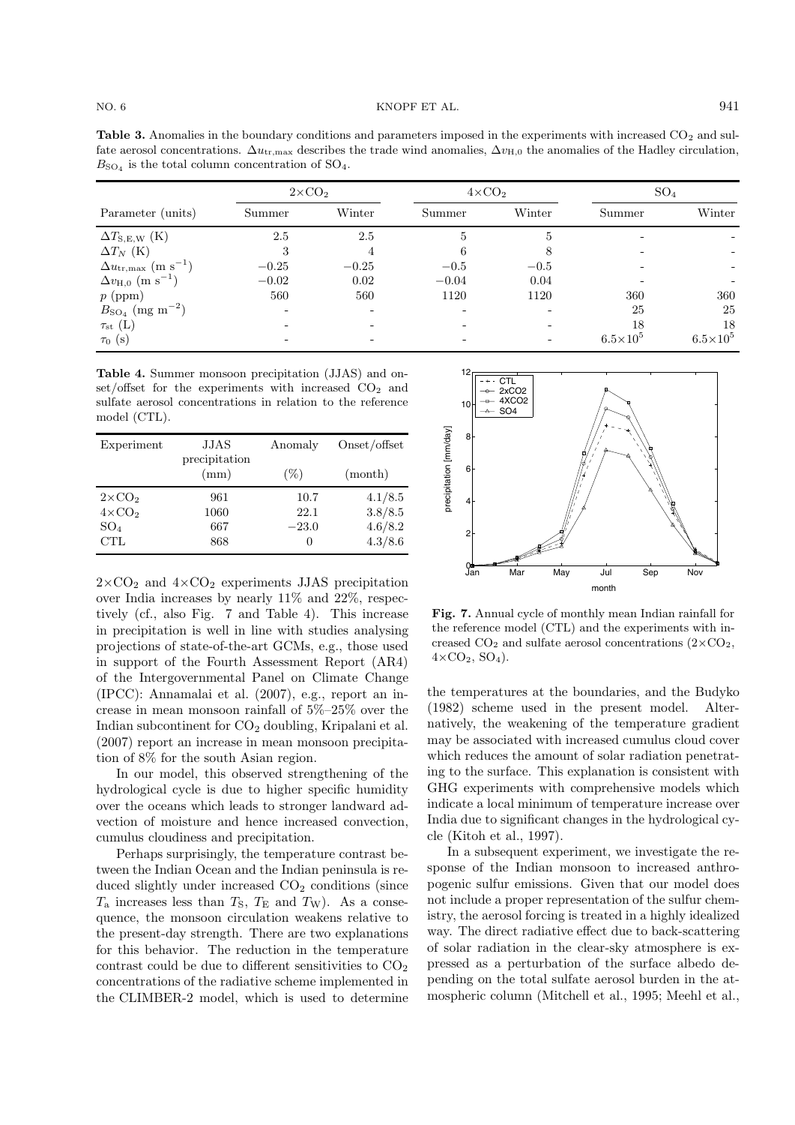**Table 3.** Anomalies in the boundary conditions and parameters imposed in the experiments with increased CO<sub>2</sub> and sulfate aerosol concentrations.  $\Delta u_{\text{tr,max}}$  describes the trade wind anomalies,  $\Delta v_{\text{H,0}}$  the anomalies of the Hadley circulation,  $B_{\text{SO}_4}$  is the total column concentration of  $\text{SO}_4$ .

|                                              | $2\times CO2$ |         | $4 \times CO2$ |        | SO <sub>4</sub>   |                   |
|----------------------------------------------|---------------|---------|----------------|--------|-------------------|-------------------|
| Parameter (units)                            | Summer        | Winter  | Summer         | Winter | Summer            | Winter            |
| $\Delta T_{\rm S,E,W}$ (K)                   | 2.5           | 2.5     | 5              | 5      |                   |                   |
| $\Delta T_N$ (K)                             |               |         | 6              |        |                   |                   |
| $\Delta u_{\rm tr,max}$ (m s <sup>-1</sup> ) | $-0.25$       | $-0.25$ | $-0.5$         | $-0.5$ |                   |                   |
| $\Delta v_{\rm H,0}$ (m s <sup>-1</sup> )    | $-0.02$       | 0.02    | $-0.04$        | 0.04   |                   |                   |
| $p$ (ppm)                                    | 560           | 560     | 1120           | 1120   | 360               | 360               |
| $B_{\rm SO_4}$ (mg m <sup>-2</sup> )         |               |         |                |        | 25                | 25                |
| $\tau_{\rm st}~({\rm L})$                    |               |         |                |        | 18                | 18                |
| $\tau_0$ (s)                                 |               |         |                |        | $6.5\times10^{5}$ | $6.5\times10^{5}$ |

**Table 4.** Summer monsoon precipitation (JJAS) and onset/offset for the experiments with increased  $CO<sub>2</sub>$  and sulfate aerosol concentrations in relation to the reference model (CTL).

| Experiment     | JJAS                  | Anomaly  | Onset/offset |  |
|----------------|-----------------------|----------|--------------|--|
|                | precipitation<br>(mm) | $(\%)$   | (month)      |  |
| $2\times CO2$  | 961                   | 10.7     | 4.1/8.5      |  |
| $4 \times CO2$ | 1060                  | 22.1     | 3.8/8.5      |  |
| $SO_4$         | 667                   | $-23.0$  | 4.6/8.2      |  |
| <b>CTL</b>     | 868                   | $\theta$ | 4.3/8.6      |  |

 $2\times$ CO<sub>2</sub> and  $4\times$ CO<sub>2</sub> experiments JJAS precipitation over India increases by nearly 11% and 22%, respectively (cf., also Fig. 7 and Table 4). This increase in precipitation is well in line with studies analysing projections of state-of-the-art GCMs, e.g., those used in support of the Fourth Assessment Report (AR4) of the Intergovernmental Panel on Climate Change (IPCC): Annamalai et al. (2007), e.g., report an increase in mean monsoon rainfall of 5%–25% over the Indian subcontinent for  $CO<sub>2</sub>$  doubling, Kripalani et al. (2007) report an increase in mean monsoon precipitation of 8% for the south Asian region.

In our model, this observed strengthening of the hydrological cycle is due to higher specific humidity over the oceans which leads to stronger landward advection of moisture and hence increased convection, cumulus cloudiness and precipitation.

Perhaps surprisingly, the temperature contrast between the Indian Ocean and the Indian peninsula is reduced slightly under increased  $CO<sub>2</sub>$  conditions (since  $T_a$  increases less than  $T_s$ ,  $T_E$  and  $T_W$ ). As a consequence, the monsoon circulation weakens relative to the present-day strength. There are two explanations for this behavior. The reduction in the temperature contrast could be due to different sensitivities to  $CO<sub>2</sub>$ concentrations of the radiative scheme implemented in the CLIMBER-2 model, which is used to determine



**Fig. 7.** Annual cycle of monthly mean Indian rainfall for the reference model (CTL) and the experiments with increased  $CO_2$  and sulfate aerosol concentrations  $(2 \times CO_2$ ,  $4\times$ CO<sub>2</sub>, SO<sub>4</sub>).

the temperatures at the boundaries, and the Budyko (1982) scheme used in the present model. Alternatively, the weakening of the temperature gradient may be associated with increased cumulus cloud cover which reduces the amount of solar radiation penetrating to the surface. This explanation is consistent with GHG experiments with comprehensive models which indicate a local minimum of temperature increase over India due to significant changes in the hydrological cycle (Kitoh et al., 1997).

In a subsequent experiment, we investigate the response of the Indian monsoon to increased anthropogenic sulfur emissions. Given that our model does not include a proper representation of the sulfur chemistry, the aerosol forcing is treated in a highly idealized way. The direct radiative effect due to back-scattering of solar radiation in the clear-sky atmosphere is expressed as a perturbation of the surface albedo depending on the total sulfate aerosol burden in the atmospheric column (Mitchell et al., 1995; Meehl et al.,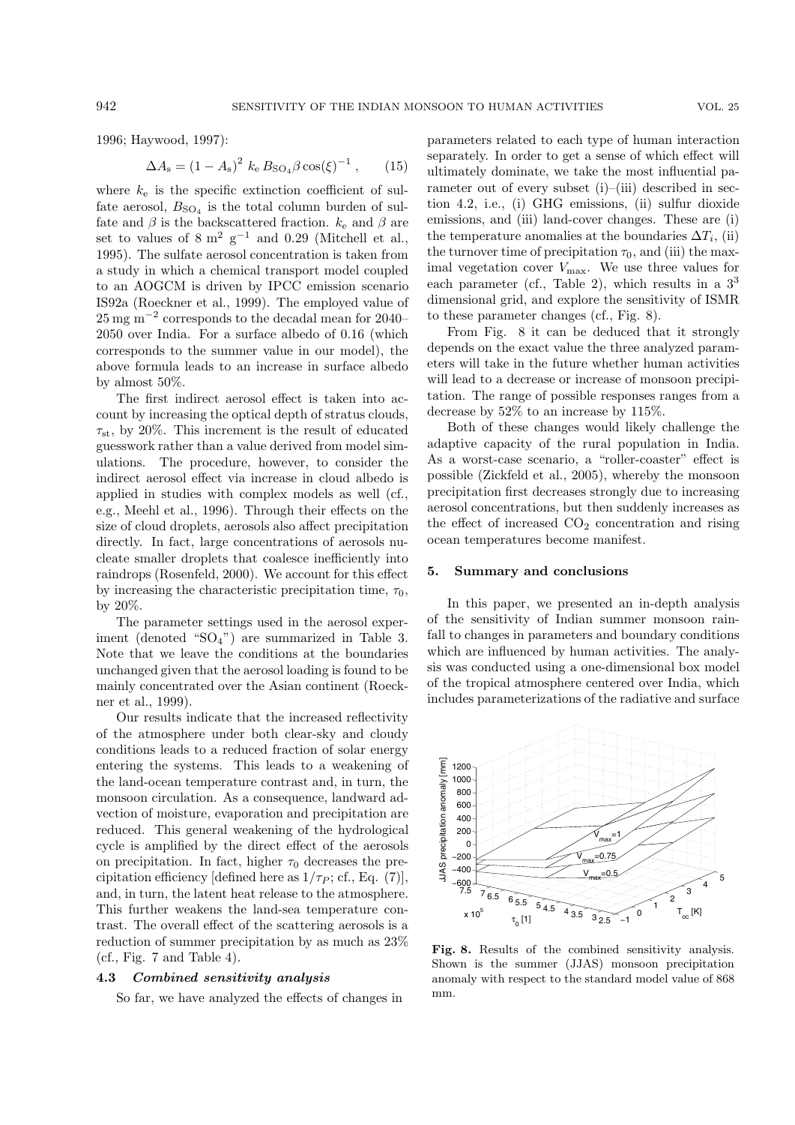1996; Haywood, 1997):

$$
\Delta A_{\rm s} = (1 - A_{\rm s})^2 \ k_{\rm e} B_{\rm SO_4} \beta \cos(\xi)^{-1} \,, \qquad (15)
$$

where  $k_e$  is the specific extinction coefficient of sulfate aerosol,  $B_{\text{SO}_4}$  is the total column burden of sulfate and  $\beta$  is the backscattered fraction.  $k_e$  and  $\beta$  are set to values of  $8 \text{ m}^2 \text{ g}^{-1}$  and 0.29 (Mitchell et al., 1995). The sulfate aerosol concentration is taken from a study in which a chemical transport model coupled to an AOGCM is driven by IPCC emission scenario IS92a (Roeckner et al., 1999). The employed value of 25 mg m−<sup>2</sup> corresponds to the decadal mean for 2040– 2050 over India. For a surface albedo of 0.16 (which corresponds to the summer value in our model), the above formula leads to an increase in surface albedo by almost 50%.

The first indirect aerosol effect is taken into account by increasing the optical depth of stratus clouds,  $\tau_{\rm st}$ , by 20%. This increment is the result of educated guesswork rather than a value derived from model simulations. The procedure, however, to consider the indirect aerosol effect via increase in cloud albedo is applied in studies with complex models as well (cf., e.g., Meehl et al., 1996). Through their effects on the size of cloud droplets, aerosols also affect precipitation directly. In fact, large concentrations of aerosols nucleate smaller droplets that coalesce inefficiently into raindrops (Rosenfeld, 2000). We account for this effect by increasing the characteristic precipitation time,  $\tau_0$ , by 20%.

The parameter settings used in the aerosol experiment (denoted " $SO_4$ ") are summarized in Table 3. Note that we leave the conditions at the boundaries unchanged given that the aerosol loading is found to be mainly concentrated over the Asian continent (Roeckner et al., 1999).

Our results indicate that the increased reflectivity of the atmosphere under both clear-sky and cloudy conditions leads to a reduced fraction of solar energy entering the systems. This leads to a weakening of the land-ocean temperature contrast and, in turn, the monsoon circulation. As a consequence, landward advection of moisture, evaporation and precipitation are reduced. This general weakening of the hydrological cycle is amplified by the direct effect of the aerosols on precipitation. In fact, higher  $\tau_0$  decreases the precipitation efficiency [defined here as  $1/\tau_P$ ; cf., Eq. (7)], and, in turn, the latent heat release to the atmosphere. This further weakens the land-sea temperature contrast. The overall effect of the scattering aerosols is a reduction of summer precipitation by as much as 23% (cf., Fig. 7 and Table 4).

# **4.3** *Combined sensitivity analysis*

So far, we have analyzed the effects of changes in

parameters related to each type of human interaction separately. In order to get a sense of which effect will ultimately dominate, we take the most influential parameter out of every subset (i)–(iii) described in section 4.2, i.e., (i) GHG emissions, (ii) sulfur dioxide emissions, and (iii) land-cover changes. These are (i) the temperature anomalies at the boundaries  $\Delta T_i$ , (ii) the turnover time of precipitation  $\tau_0$ , and (iii) the maximal vegetation cover  $V_{\text{max}}$ . We use three values for each parameter (cf., Table 2), which results in a  $3<sup>3</sup>$ dimensional grid, and explore the sensitivity of ISMR to these parameter changes (cf., Fig. 8).

From Fig. 8 it can be deduced that it strongly depends on the exact value the three analyzed parameters will take in the future whether human activities will lead to a decrease or increase of monsoon precipitation. The range of possible responses ranges from a decrease by 52% to an increase by 115%.

Both of these changes would likely challenge the adaptive capacity of the rural population in India. As a worst-case scenario, a "roller-coaster" effect is possible (Zickfeld et al., 2005), whereby the monsoon precipitation first decreases strongly due to increasing aerosol concentrations, but then suddenly increases as the effect of increased  $CO<sub>2</sub>$  concentration and rising ocean temperatures become manifest.

#### **5. Summary and conclusions**

In this paper, we presented an in-depth analysis of the sensitivity of Indian summer monsoon rainfall to changes in parameters and boundary conditions which are influenced by human activities. The analysis was conducted using a one-dimensional box model of the tropical atmosphere centered over India, which includes parameterizations of the radiative and surface



**Fig. 8.** Results of the combined sensitivity analysis. Shown is the summer (JJAS) monsoon precipitation anomaly with respect to the standard model value of 868 mm.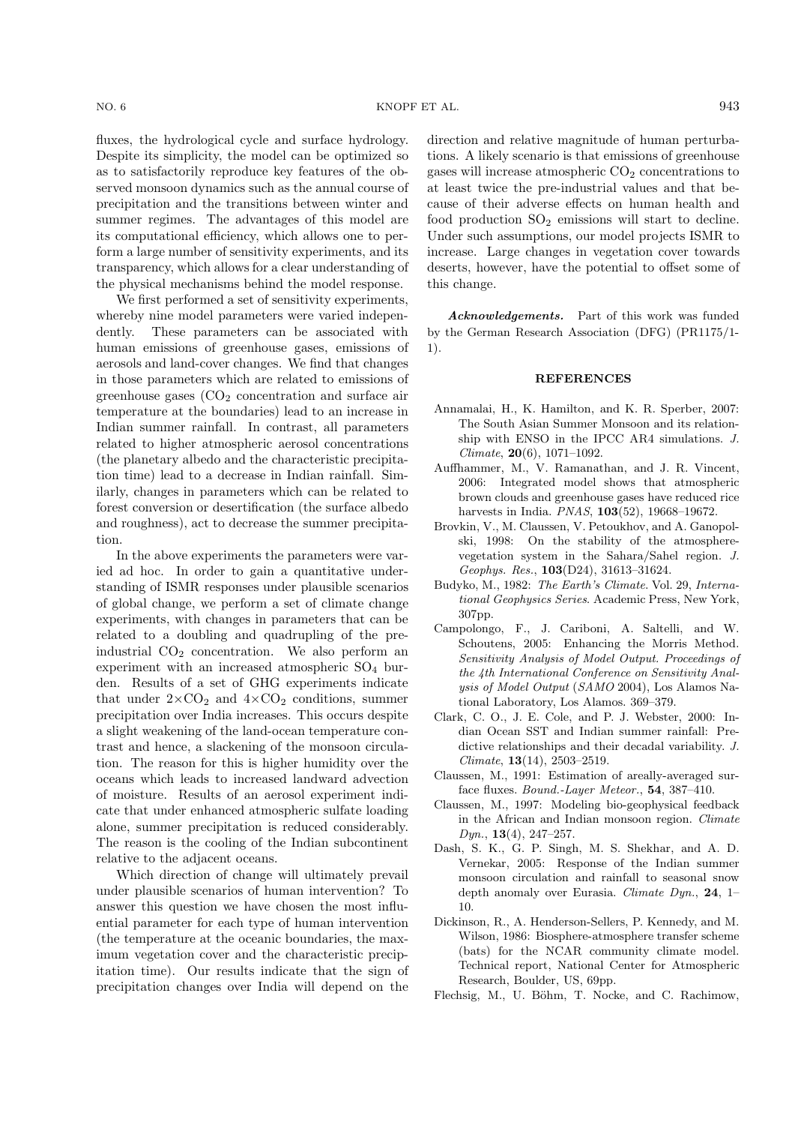fluxes, the hydrological cycle and surface hydrology. Despite its simplicity, the model can be optimized so as to satisfactorily reproduce key features of the observed monsoon dynamics such as the annual course of precipitation and the transitions between winter and summer regimes. The advantages of this model are its computational efficiency, which allows one to perform a large number of sensitivity experiments, and its transparency, which allows for a clear understanding of

the physical mechanisms behind the model response. We first performed a set of sensitivity experiments, whereby nine model parameters were varied independently. These parameters can be associated with human emissions of greenhouse gases, emissions of aerosols and land-cover changes. We find that changes in those parameters which are related to emissions of greenhouse gases  $(CO<sub>2</sub>$  concentration and surface air temperature at the boundaries) lead to an increase in Indian summer rainfall. In contrast, all parameters related to higher atmospheric aerosol concentrations (the planetary albedo and the characteristic precipitation time) lead to a decrease in Indian rainfall. Similarly, changes in parameters which can be related to forest conversion or desertification (the surface albedo and roughness), act to decrease the summer precipitation.

In the above experiments the parameters were varied ad hoc. In order to gain a quantitative understanding of ISMR responses under plausible scenarios of global change, we perform a set of climate change experiments, with changes in parameters that can be related to a doubling and quadrupling of the preindustrial  $CO<sub>2</sub>$  concentration. We also perform an experiment with an increased atmospheric  $SO<sub>4</sub>$  burden. Results of a set of GHG experiments indicate that under  $2\times CO_2$  and  $4\times CO_2$  conditions, summer precipitation over India increases. This occurs despite a slight weakening of the land-ocean temperature contrast and hence, a slackening of the monsoon circulation. The reason for this is higher humidity over the oceans which leads to increased landward advection of moisture. Results of an aerosol experiment indicate that under enhanced atmospheric sulfate loading alone, summer precipitation is reduced considerably. The reason is the cooling of the Indian subcontinent relative to the adjacent oceans.

Which direction of change will ultimately prevail under plausible scenarios of human intervention? To answer this question we have chosen the most influential parameter for each type of human intervention (the temperature at the oceanic boundaries, the maximum vegetation cover and the characteristic precipitation time). Our results indicate that the sign of precipitation changes over India will depend on the direction and relative magnitude of human perturbations. A likely scenario is that emissions of greenhouse gases will increase atmospheric  $CO<sub>2</sub>$  concentrations to at least twice the pre-industrial values and that because of their adverse effects on human health and food production  $SO_2$  emissions will start to decline. Under such assumptions, our model projects ISMR to increase. Large changes in vegetation cover towards deserts, however, have the potential to offset some of this change.

*Acknowledgements.* Part of this work was funded by the German Research Association (DFG) (PR1175/1- 1).

### **REFERENCES**

- Annamalai, H., K. Hamilton, and K. R. Sperber, 2007: The South Asian Summer Monsoon and its relationship with ENSO in the IPCC AR4 simulations. *J. Climate*, **20**(6), 1071–1092.
- Auffhammer, M., V. Ramanathan, and J. R. Vincent, 2006: Integrated model shows that atmospheric brown clouds and greenhouse gases have reduced rice harvests in India. *PNAS*, **103**(52), 19668–19672.
- Brovkin, V., M. Claussen, V. Petoukhov, and A. Ganopolski, 1998: On the stability of the atmospherevegetation system in the Sahara/Sahel region. *J. Geophys. Res.*, **103**(D24), 31613–31624.
- Budyko, M., 1982: *The Earth's Climate*. Vol. 29, *International Geophysics Series*. Academic Press, New York, 307pp.
- Campolongo, F., J. Cariboni, A. Saltelli, and W. Schoutens, 2005: Enhancing the Morris Method. *Sensitivity Analysis of Model Output. Proceedings of the 4th International Conference on Sensitivity Analysis of Model Output* (*SAMO* 2004), Los Alamos National Laboratory, Los Alamos. 369–379.
- Clark, C. O., J. E. Cole, and P. J. Webster, 2000: Indian Ocean SST and Indian summer rainfall: Predictive relationships and their decadal variability. *J. Climate*, **13**(14), 2503–2519.
- Claussen, M., 1991: Estimation of areally-averaged surface fluxes. *Bound.-Layer Meteor.*, **54**, 387–410.
- Claussen, M., 1997: Modeling bio-geophysical feedback in the African and Indian monsoon region. *Climate Dyn.*, **13**(4), 247–257.
- Dash, S. K., G. P. Singh, M. S. Shekhar, and A. D. Vernekar, 2005: Response of the Indian summer monsoon circulation and rainfall to seasonal snow depth anomaly over Eurasia. *Climate Dyn.*, **24**, 1– 10.
- Dickinson, R., A. Henderson-Sellers, P. Kennedy, and M. Wilson, 1986: Biosphere-atmosphere transfer scheme (bats) for the NCAR community climate model. Technical report, National Center for Atmospheric Research, Boulder, US, 69pp.
- Flechsig, M., U. Böhm, T. Nocke, and C. Rachimow,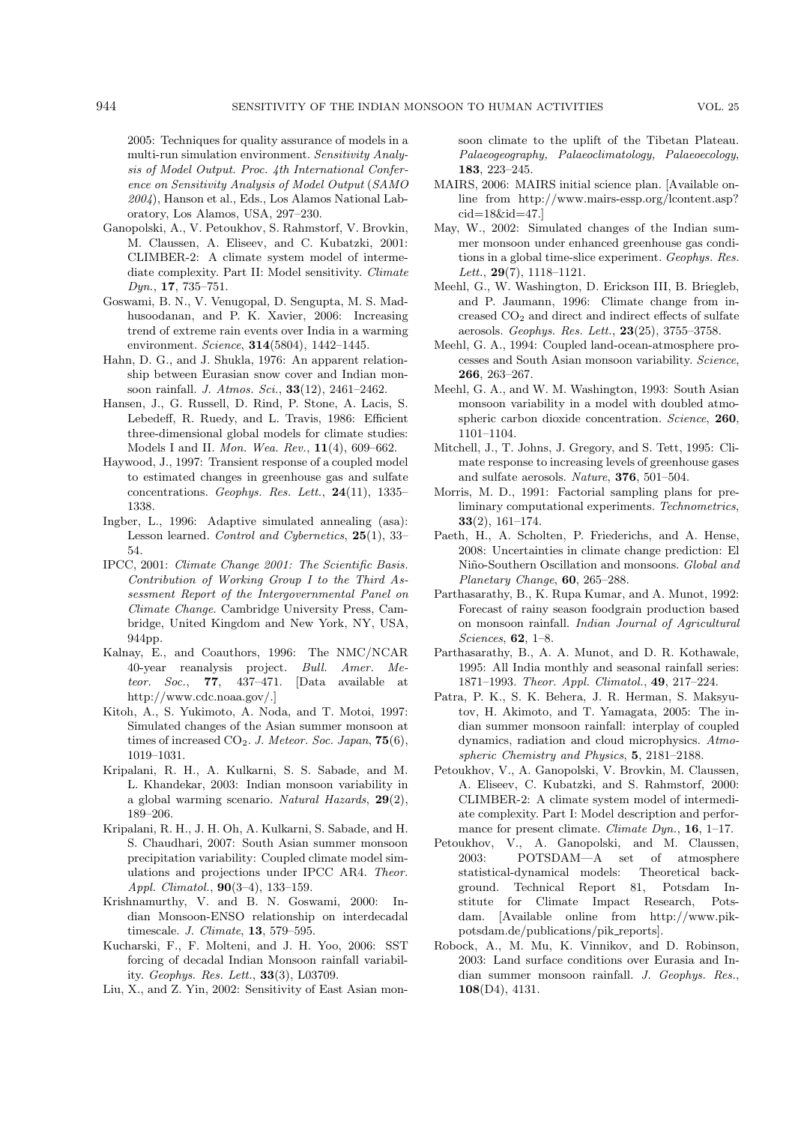2005: Techniques for quality assurance of models in a multi-run simulation environment. *Sensitivity Analysis of Model Output. Proc. 4th International Conference on Sensitivity Analysis of Model Output* (*SAMO 2004*), Hanson et al., Eds., Los Alamos National Laboratory, Los Alamos, USA, 297–230.

- Ganopolski, A., V. Petoukhov, S. Rahmstorf, V. Brovkin, M. Claussen, A. Eliseev, and C. Kubatzki, 2001: CLIMBER-2: A climate system model of intermediate complexity. Part II: Model sensitivity. *Climate Dyn.*, **17**, 735–751.
- Goswami, B. N., V. Venugopal, D. Sengupta, M. S. Madhusoodanan, and P. K. Xavier, 2006: Increasing trend of extreme rain events over India in a warming environment. *Science*, **314**(5804), 1442–1445.
- Hahn, D. G., and J. Shukla, 1976: An apparent relationship between Eurasian snow cover and Indian monsoon rainfall. *J. Atmos. Sci.*, **33**(12), 2461–2462.
- Hansen, J., G. Russell, D. Rind, P. Stone, A. Lacis, S. Lebedeff, R. Ruedy, and L. Travis, 1986: Efficient three-dimensional global models for climate studies: Models I and II. *Mon. Wea. Rev.*, **11**(4), 609–662.
- Haywood, J., 1997: Transient response of a coupled model to estimated changes in greenhouse gas and sulfate concentrations. *Geophys. Res. Lett.*, **24**(11), 1335– 1338.
- Ingber, L., 1996: Adaptive simulated annealing (asa): Lesson learned. *Control and Cybernetics*, **25**(1), 33– 54.
- IPCC, 2001: *Climate Change 2001: The Scientific Basis. Contribution of Working Group I to the Third Assessment Report of the Intergovernmental Panel on Climate Change*. Cambridge University Press, Cambridge, United Kingdom and New York, NY, USA, 944pp.
- Kalnay, E., and Coauthors, 1996: The NMC/NCAR 40-year reanalysis project. *Bull. Amer. Meteor. Soc.*, **77**, 437–471. [Data available at http://www.cdc.noaa.gov/.]
- Kitoh, A., S. Yukimoto, A. Noda, and T. Motoi, 1997: Simulated changes of the Asian summer monsoon at times of increased CO2. *J. Meteor. Soc. Japan*, **75**(6), 1019–1031.
- Kripalani, R. H., A. Kulkarni, S. S. Sabade, and M. L. Khandekar, 2003: Indian monsoon variability in a global warming scenario. *Natural Hazards*, **29**(2), 189–206.
- Kripalani, R. H., J. H. Oh, A. Kulkarni, S. Sabade, and H. S. Chaudhari, 2007: South Asian summer monsoon precipitation variability: Coupled climate model simulations and projections under IPCC AR4. *Theor. Appl. Climatol.*, **90**(3–4), 133–159.
- Krishnamurthy, V. and B. N. Goswami, 2000: Indian Monsoon-ENSO relationship on interdecadal timescale. *J. Climate*, **13**, 579–595.
- Kucharski, F., F. Molteni, and J. H. Yoo, 2006: SST forcing of decadal Indian Monsoon rainfall variability. *Geophys. Res. Lett.*, **33**(3), L03709.
- Liu, X., and Z. Yin, 2002: Sensitivity of East Asian mon-

soon climate to the uplift of the Tibetan Plateau. *Palaeogeography, Palaeoclimatology, Palaeoecology*, **183**, 223–245.

- MAIRS, 2006: MAIRS initial science plan. [Available online from http://www.mairs-essp.org/lcontent.asp? cid=18&id=47.]
- May, W., 2002: Simulated changes of the Indian summer monsoon under enhanced greenhouse gas conditions in a global time-slice experiment. *Geophys. Res. Lett.*, **29**(7), 1118–1121.
- Meehl, G., W. Washington, D. Erickson III, B. Briegleb, and P. Jaumann, 1996: Climate change from increased  $CO<sub>2</sub>$  and direct and indirect effects of sulfate aerosols. *Geophys. Res. Lett.*, **23**(25), 3755–3758.
- Meehl, G. A., 1994: Coupled land-ocean-atmosphere processes and South Asian monsoon variability. *Science*, **266**, 263–267.
- Meehl, G. A., and W. M. Washington, 1993: South Asian monsoon variability in a model with doubled atmospheric carbon dioxide concentration. *Science*, **260**, 1101–1104.
- Mitchell, J., T. Johns, J. Gregory, and S. Tett, 1995: Climate response to increasing levels of greenhouse gases and sulfate aerosols. *Nature*, **376**, 501–504.
- Morris, M. D., 1991: Factorial sampling plans for preliminary computational experiments. *Technometrics*, **33**(2), 161–174.
- Paeth, H., A. Scholten, P. Friederichs, and A. Hense, 2008: Uncertainties in climate change prediction: El Ni˜no-Southern Oscillation and monsoons. *Global and Planetary Change*, **60**, 265–288.
- Parthasarathy, B., K. Rupa Kumar, and A. Munot, 1992: Forecast of rainy season foodgrain production based on monsoon rainfall. *Indian Journal of Agricultural Sciences*, **62**, 1–8.
- Parthasarathy, B., A. A. Munot, and D. R. Kothawale, 1995: All India monthly and seasonal rainfall series: 1871–1993. *Theor. Appl. Climatol.*, **49**, 217–224.
- Patra, P. K., S. K. Behera, J. R. Herman, S. Maksyutov, H. Akimoto, and T. Yamagata, 2005: The indian summer monsoon rainfall: interplay of coupled dynamics, radiation and cloud microphysics. *Atmospheric Chemistry and Physics*, **5**, 2181–2188.
- Petoukhov, V., A. Ganopolski, V. Brovkin, M. Claussen, A. Eliseev, C. Kubatzki, and S. Rahmstorf, 2000: CLIMBER-2: A climate system model of intermediate complexity. Part I: Model description and performance for present climate. *Climate Dyn.*, **16**, 1–17.
- Petoukhov, V., A. Ganopolski, and M. Claussen, 2003: POTSDAM—A set of atmosphere statistical-dynamical models: Theoretical background. Technical Report 81, Potsdam Institute for Climate Impact Research, Potsdam. [Available online from http://www.pikpotsdam.de/publications/pik reports].
- Robock, A., M. Mu, K. Vinnikov, and D. Robinson, 2003: Land surface conditions over Eurasia and Indian summer monsoon rainfall. *J. Geophys. Res.*, **108**(D4), 4131.